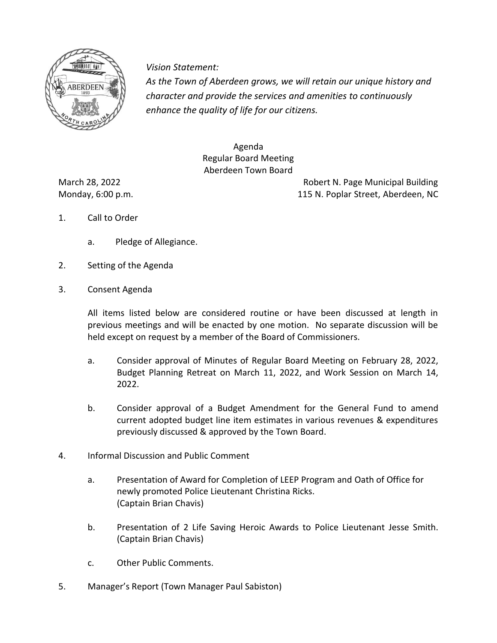

*Vision Statement Vision Statement:*

*As the Town of Aberdeen grows, we will retain our unique history and character and provide the services and amenities to continuously enhance the quality of life for our citizens.* 

> Agenda Regular Board Meeting Aberdeen Town Board

March 28, 2022 **Robert N. Page Municipal Building** Monday, 6:00 p.m. 115 N. Poplar Street, Aberdeen, NC

- 1. Call to Order
	- a. Pledge of Allegiance.
- 2. Setting of the Agenda
- 3. Consent Agenda

All items listed below are considered routine or have been discussed at length in previous meetings and will be enacted by one motion. No separate discussion will be held except on request by a member of the Board of Commissioners.

- a. Consider approval of Minutes of Regular Board Meeting on February 28, 2022, Budget Planning Retreat on March 11, 2022, and Work Session on March 14, 2022.
- b. Consider approval of a Budget Amendment for the General Fund to amend current adopted budget line item estimates in various revenues & expenditures previously discussed & approved by the Town Board.
- 4. Informal Discussion and Public Comment
	- a. Presentation of Award for Completion of LEEP Program and Oath of Office for newly promoted Police Lieutenant Christina Ricks. (Captain Brian Chavis)
	- b. Presentation of 2 Life Saving Heroic Awards to Police Lieutenant Jesse Smith. (Captain Brian Chavis)
	- c. Other Public Comments.
- 5. Manager's Report (Town Manager Paul Sabiston)